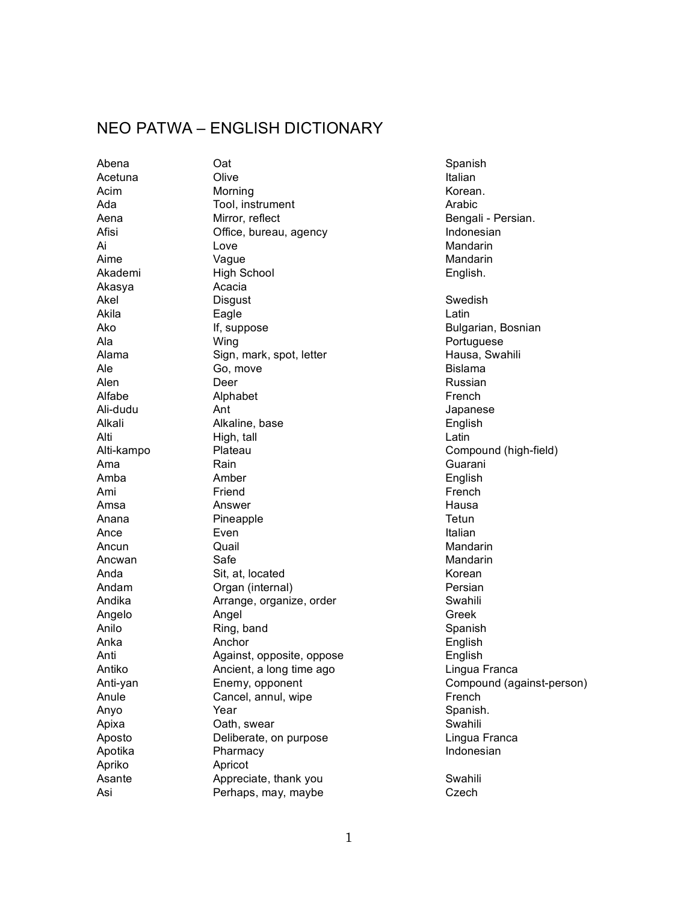## NEO PATWA – ENGLISH DICTIONARY

Akasya Acacia Apriko Apricot

Abena Cat Cata and Catalogue and Catalogue and Catalogue and Catalogue and Spanish Acetuna Olive Italian Acim Morning Morning Korean. Ada Tool, instrument Contract Tool, instrument Arabic Aena **Mirror, reflect Bengali** - Persian. Afisi **Office, bureau, agency Indonesian** Ai Chrìobhachd anns an t-Iove anns an t-Iove anns an t-Iove anns an t-Iove anns an t-Iove anns an t-Iove anns Aime **Vague** Vague **Mandarin** Akademi High School English. Akel Disgust Swedish Akila Eagle Latin Ako **If, suppose** Bulgarian, Bosnian Ala Wing Wing Portuguese Alama Sign, mark, spot, letter Summan Hausa, Swahili Ale Go, move Bislama Alen **Deer** Deer Russian Alfabe Alphabet Alphabet French Ali-dudu Ant Japanese Alkali Alkaline, base English Alti **High, tall Community Community** Latin Alti-kampo Plateau Compound (high-field) Ama Rain Rain Cuarani Amba Amber English Ami Friend Friend French Amsa Answer Hausa Anana Pineapple Pineapple Tetun Ance Even Even **Italian** Ancun Quail Quail Communication and Mandarin Ancwan Safe Safe Safe Superintendent Mandarin Anda Sit, at, located Sites and Solvet and Solvet and Solvet and Solvet and Solvet and Solvet and Solvet and S Andam **Organ** (internal) **Persian** Andika **Arrange**, organize, order **Arrange**, organize, order Angelo Angel Greek Anilo Ring, band Spanish Anka Anchor English Anti Against, opposite, oppose English Antiko Ancient, a long time ago Lingua Franca Anti-yan **Enemy, opponent** Compound (against-person) Anule Cancel, annul, wipe French Anyo Year Spanish. Apixa Cath, swear Cath, swear Swahili Aposto **Deliberate, on purpose** Lingua Franca Apotika Pharmacy **Indonesian** Asante **Appreciate, thank you** Swahili Asi Perhaps, may, maybe Czech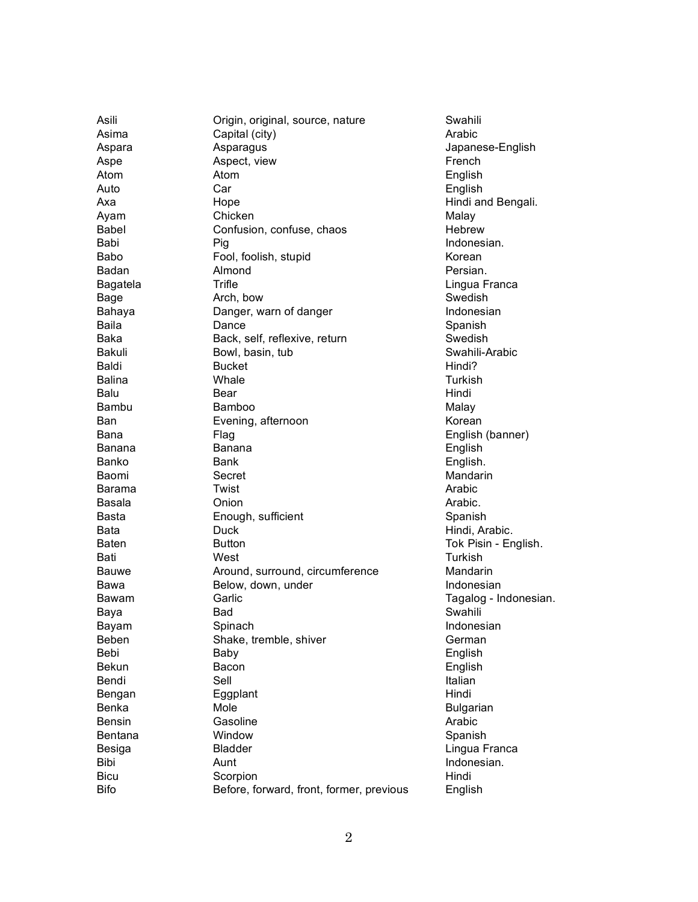Asili A s i m a Aspara A s p e Atom Auto Ax a A y a m **Babel** B a b i B a b o **Badan Bagatela Bage** B a h a y a Baila B a k a **Bakuli Baldi Balina** Balu B a m b u B a n B a n a Banana Banko B a o m i Barama **Basala** Basta Bata Baten Bati **Bauwe** B a w a B a w a m B a y a **Bayam Beben** B e b i **Bekun Bendi Bengan** Benka **Bensin Bentana Besiga** B i b i **Bicu** B i fo

Origin, original, source, nature Capital (city) Asparagus Aspect, view Atom Car Hope Chicken Confusion, confuse, chaos P i g Fool, foolish, stupid Almond **Trifle** Arch, bow Danger, warn of danger Dance Back, self, reflexive, return Bowl, basin, tub **Bucket** Whale B e a r **Bamboo** Evening, afternoon F l a g Banana Bank Secret **Twist** Onion Enough, sufficient Duck **Button** West Around, surround, circumference Below, down, under Garlic B a d Spinach Shake, tremble, shiver **Baby Bacon** Sell Eggplant Mole Gasoline Window **Bladder** Aunt Scorpion Before, forward, front, former, previous

Swahili Arabic Japanese-English French English English Hindi and Bengali. Malay **Hebrew** Indonesian. Korean Persian. Lingua Franca Swedish Indonesian Spanish Swedish Swahili-Arabic Hindi? **Turkish** Hindi Malay Korean English (banner) English English. Mandarin Arabic Arabic. Spanish Hindi, Arabic. Tok Pisin - English. **Turkish** Mandarin Indonesian Tagalog - Indonesian. Swahili Indonesian German English English Italian Hindi **Bulgarian** Arabic Spanish Lingua Franca Indonesian. Hindi English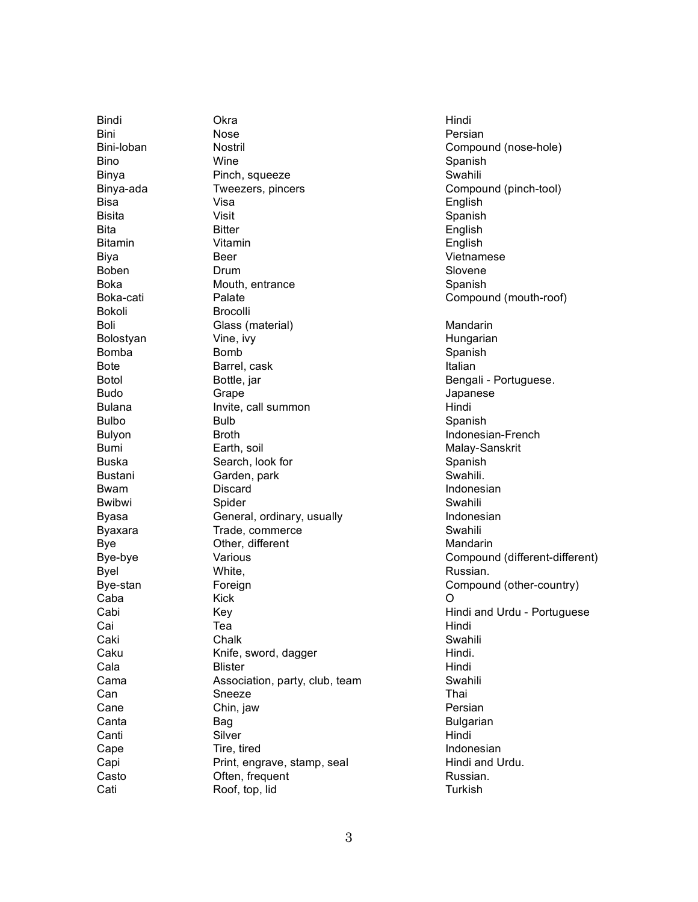**Bindi** Bini Bini-loban B i n o **Binya** Binya-ada B i s a **Bisita** Bita **Bitamin** Biya **Boben** B o k a Boka-cati **Bokoli** Boli **Bolostyan** B o m b a Bote **Botol Budo Bulana Bulbo Bulyon** B u m i B u s k a **Bustani** B w a m **Bwibwi** B y a s a **Byaxara Bye** B y e - b y e **Byel** Bye-stan C a b a Cabi C a i Caki Caku Cala C a m a C a n Cane Canta Canti Cape Capi Casto Cati

**Okra** Nose Nostril Wine Pinch, squeeze Tweezers, pincers V i s a Visit **Bitter** Vitamin Beer Drum Mouth, entrance Palate **Brocolli** Glass (material) Vine, ivy B o m b Barrel, cask Bottle, jar **Grape** Invite, call summon **Bulb Broth** Earth, soil Search, look for Garden, park Discard Spider General, ordinary, usually Trade, commerce Other, different Various White, Foreign K i c k K e y T e a Chalk Knife, sword, dagger **Blister** Association, party, club, team Sneeze Chin, jaw B a g Silver Tire, tired Print, engrave, stamp, seal Often, frequent Roof, top, lid

Hindi Persian Compound (nose-hole) Spanish Swahili Compound (pinch-tool) English Spanish English English Vietnamese Slovene Spanish Compound (mouth-roof) Mandarin Hungarian Spanish Italian Bengali - Portuguese. **Japanese** Hindi Spanish Indonesian-French Malay-Sanskrit Spanish Swahili. Indonesian Swahili Indonesian Swahili Mandarin Compound (different-different) Russian. Compound (other-country) O Hindi and Urdu - Portuguese Hindi Swahili Hindi. Hindi Swahili T h a i Persian **Bulgarian** Hindi Indonesian Hindi and Urdu. Russian. **Turkish**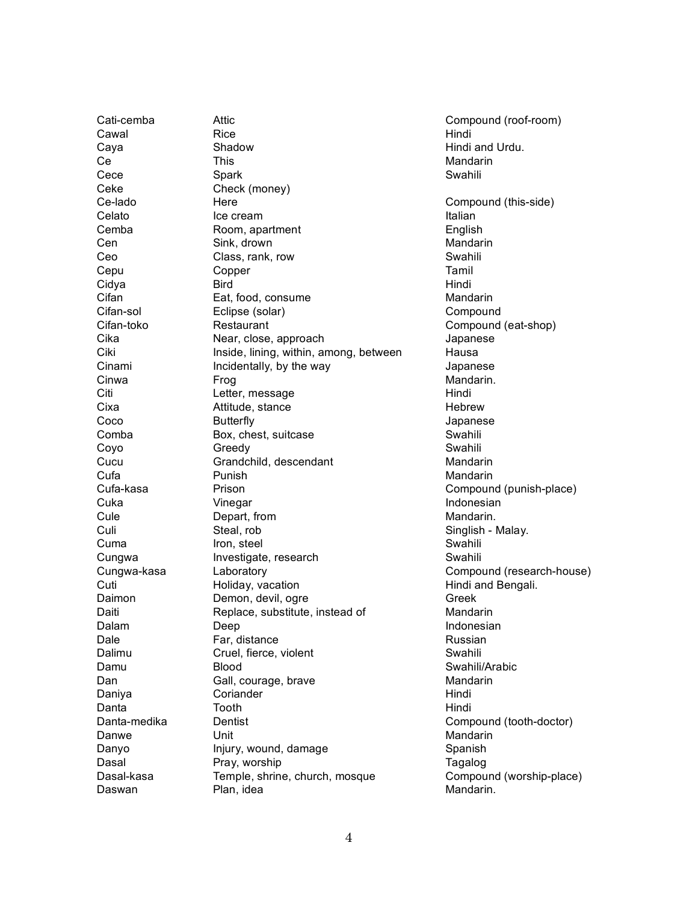Cati-cemba Attic Compound (roof-room) Cawal Rice Rice Reserves and Hindi Caya Shadow Hindi and Urdu. Ce **This** This Mandarin Cece Spark Spark Swahili Ceke Check (money) Ce-lado Here Compound (this-side) Celato Ice cream Italian Italian Cemba Room, apartment Cemba English Cen Sink, drown Sink, drown Sink, the South Sink of South American State Mandarin Ceo Class, rank, row Class of Swahili Cepu Copper Tamil Cidya Bird Hindi Cifan Eat, food, consume Mandarin Cifan-sol Eclipse (solar) Compound Cifan-toko Restaurant Compound (eat-shop) Cika Near, close, approach Japanese Ciki Inside, lining, within, among, between Hausa Cinami **Incidentally**, by the way **Incidentally** by the way **I** Japanese Cinwa **Frog** Frog **Mandarin.** Citi Letter, message Hindi Cixa Attitude, stance Attitude, and Attitude Attitude Attitude Attitude Attitude Attitude Attitude Attitude Attitude Attitude Attitude Attitude Attitude Attitude Attitude Attitude Attitude Attitude Attitude Attitude Attitu Coco Butterfly Japanese Comba Box, chest, suitcase Swahili Coyo Greedy Greedy Swahili Cucu Grandchild, descendant Mandarin Cufa **Punish Mandarin** Punish **Mandarin** Mandarin Cufa-kasa Prison Compound (punish-place) Cuka **Vinegar** Indonesian Vinegar Indonesian Cule Depart, from Mandarin. Culi Steal, rob Singlish - Malay. Cuma Iron, steel Swahili Cungwa Investigate, research Swahili Cungwa-kasa Laboratory Compound (research-house) Cuti Holiday, vacation Hindi and Bengali. Daimon Demon, devil, ogre Daiti Replace, substitute, instead of Mandarin Dalam Deep Deep Indonesian Dale **Far, distance Farge Russian** Dalimu Cruel, fierce, violent Cruel, Swahili Damu Blood Swahili/Arabic Dan Gall, courage, brave Canadarin Mandarin Daniya Coriander Corianter Hindi Danta **Tooth** Hindi Danta-medika Dentist Compound (tooth-doctor) Danwe Unit Unit Mandarin Danyo Injury, wound, damage Spanish Dasal Pray, worship Pray, worship Pray, worship Pray, and the Tagalog Dasal-kasa Temple, shrine, church, mosque Compound (worship-place) Daswan Plan, idea Mandarin.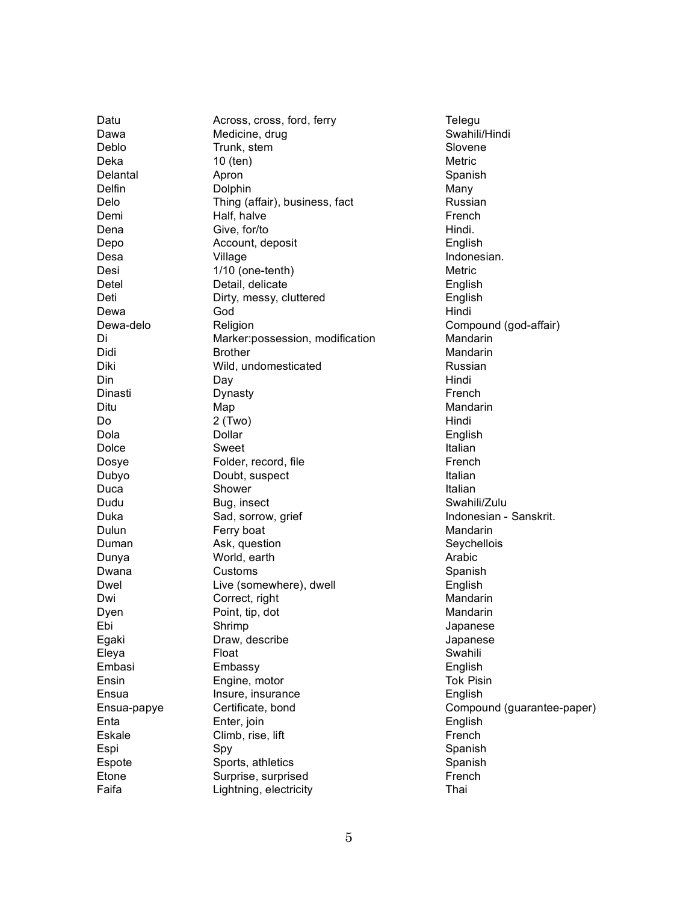| Datu        | Across, cross, ford, ferry      |
|-------------|---------------------------------|
| Dawa        | Medicine, drug                  |
| Deblo       | Trunk, stem                     |
| Deka        | 10 (ten)                        |
| Delantal    | Apron                           |
| Delfin      | Dolphin                         |
| Delo        | Thing (affair), business, fact  |
| Demi        | Half, halve                     |
| Dena        | Give, for/to                    |
| Depo        | Account, deposit                |
| Desa        | Village                         |
| Desi        | 1/10 (one-tenth)                |
| Detel       | Detail, delicate                |
| Deti        | Dirty, messy, cluttered         |
| Dewa        | God                             |
| Dewa-delo   | Religion                        |
| Di          | Marker:possession, modification |
| Didi        | <b>Brother</b>                  |
| Diki        | Wild, undomesticated            |
| Din         | Day                             |
| Dinasti     | Dynasty                         |
| Ditu        | Map                             |
| Do          | 2 (Two)                         |
| Dola        | Dollar                          |
| Dolce       | Sweet                           |
| Dosye       | Folder, record, file            |
| Dubyo       | Doubt, suspect                  |
| Duca        | Shower                          |
| Dudu        | Bug, insect                     |
| Duka        | Sad, sorrow, grief              |
| Dulun       | Ferry boat                      |
| Duman       | Ask, question                   |
| Dunya       | World, earth                    |
| Dwana       | Customs                         |
| Dwel        | Live (somewhere), dwell         |
| Dwi         | Correct, right                  |
| Dyen        | Point, tip, dot                 |
| Ebi         | Shrimp                          |
| Egaki       | Draw, describe                  |
| Eleya       | Float                           |
| Embasi      | Embassy                         |
| Ensin       | Engine, motor                   |
| Ensua       | Insure, insurance               |
| Ensua-papye | Certificate, bond               |
| Enta        | Enter, join                     |
| Eskale      | Climb, rise, lift               |
| Espi        | Spy                             |
| Espote      | Sports, athletics               |
| Etone       | Surprise, surprised             |
| Faifa       | Lightning, electricity          |
|             |                                 |

**Telegu** Swahili/Hindi Slovene Metric Spanish Many Russian French Hindi. English Indonesian. Metric English English Hindi Compound (god-affair) Mandarin Mandarin Russian Hindi French Mandarin Hindi English Italian French Italian Italian Swahili/Zulu Indonesian - Sanskrit. Mandarin Seychellois Arabic Spanish English Mandarin Mandarin **Japanese Japanese** Swahili English Tok Pisin English Compound (guarantee-paper) English French Spanish Spanish French T h a i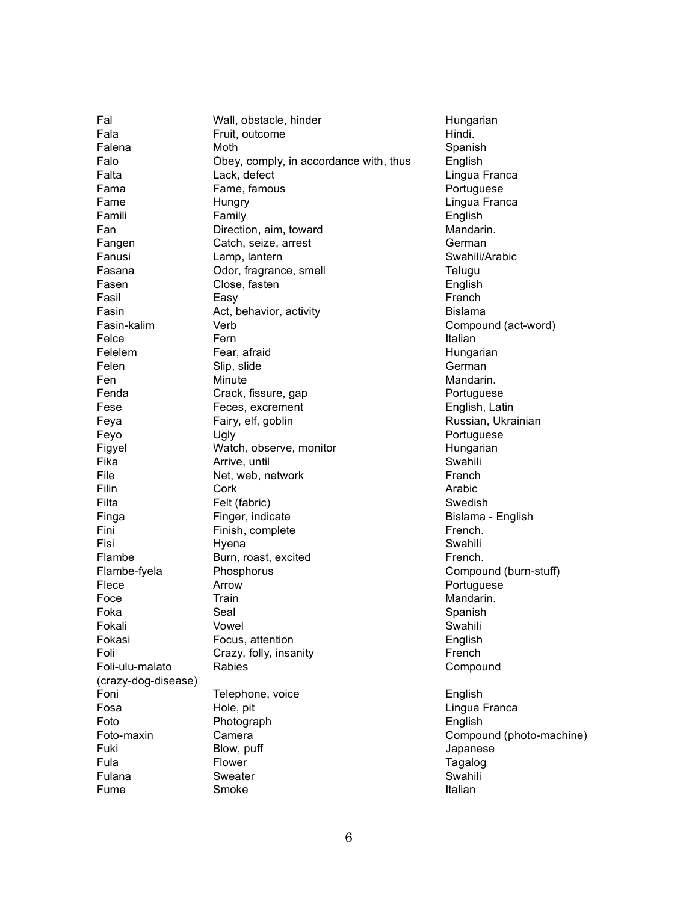(crazy-dog-disease)

Fal Wall, obstacle, hinder Wall, and the Hungarian Fala Fruit, outcome **Fruit, and Fruit, and Fruit, and Fruit**, outcome **Hindi**. Falena Moth Moth Spanish Falo Obey, comply, in accordance with, thus English Falta Lack, defect Contract Lingua Franca Fama Fame, famous **Fame, Fame, Famous** Portuguese Fame Hungry Hungry Hungry Hungrian Hungrian Hungrian Hungrian Hungrian Lingua Franca Famili Family English Fan Direction, aim, toward Mandarin. Fangen Catch, seize, arrest Carchester German Fanusi Lamp, lantern Swahili/Arabic Fasana **Odor, fragrance, smell** Contained Telugu Fasen Close, fasten English Fasil Easy Easy **French** Fasin **Act, behavior, activity Bislama** Fasin-kalim Verb Verb Compound (act-word) Felce Fern Fern Italian Felelem Fear, afraid Fear and Hungarian Felen Slip, slide German Fen Minute Minute Mandarin. Fenda Crack, fissure, gap **Portuguese** Portuguese Fese Feces, excrement English, Latin Feya **Fairy, elf, goblin** Russian, Ukrainian Feyo Ugly Ugly **Portuguese** Figyel **Watch, observe, monitor Hungarian** Fika **Arrive, until Arrive, and Arrive**, and Arrive, and Arrive, and Arrive, and Arrive, and Arrive, and Arrive, and A File **Net, web, network Net and Net Allem French** Filin Cork Arabic Filta **Felt (fabric)** Felt (fabric) Swedish Finga **Finger, indicate Bislama - English** Finger, indicate **Bislama** - English Fini Finish, complete French. Fisi Swahili Hyena **Martia a Tanzania Na Tanzania Na Tanzania Na Tanzania Na Tanzania Na Tanzania Na Tanzania N** Flambe Burn, roast, excited French. Flambe-fyela Phosphorus Compound (burn-stuff) Flece **Arrow Arrow Arrow Portuguese** Foce Train Train Train Mandarin. Foka Seal Seal Spanish Fokali Vowel Swahili Fokasi **Focus, attention Focus English** Foli Crazy, folly, insanity Crazy, folly, insanity French Foli-ulu-malato Rabies Compound Foni **Telephone, voice English** English Fosa **Hole, pit Hole**, pit **Lingua Franca** Foto Photograph **English** Foto-maxin Camera Compound (photo-machine) Fuki Blow, puff **Blow, puff** Japanese Fula **Flower** Flower **Figure 1** Fulana Sweater Sweater Swahili Fume Smoke Smoke Italian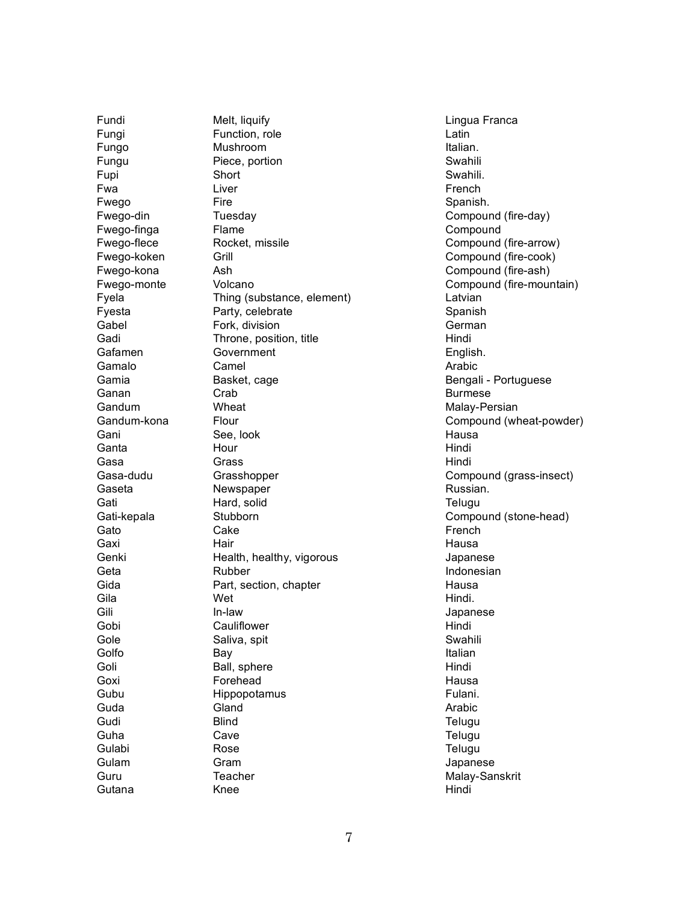Fundi Fungi Fungo Fungu Fupi F w a Fwego Fwego-din Fwego-finga Fwego-flece Fwego-koken Fwego-kona Fwego-monte Fyela Fyesta Gabel Gadi Gafamen **Gamalo** G a m i a Ganan Gandum Gandum-kona Gani Ganta Gasa Gasa-dudu Gaseta Gati Gati-kepala Gato Gaxi Genki Geta Gida Gila Gili Gobi Gole Golfo Goli Goxi Gubu Guda Gudi Guha Gulabi Gulam Guru Gutana

Melt, liquify Function, role Mushroom Piece, portion Short Liver Fire **Tuesday Flame** Rocket, missile Grill A s h Volcano Thing (substance, element) Party, celebrate Fork, division Throne, position, title Government Camel Basket, cage Crab Wheat Flour See, look Hour **Grass** Grasshopper Newspaper Hard, solid Stubborn Cake Hair Health, healthy, vigorous Rubber Part, section, chapter Wet I n - l a w Cauliflower Saliva, spit B a y Ball, sphere Forehead Hippopotamus **Gland Blind** Cave R o s e **Gram Teacher** K n e e

Lingua Franca Latin Italian. Swahili Swahili. French Spanish. Compound (fire-day) Compound Compound (fire-arrow) Compound (fire-cook) Compound (fire-ash) Compound (fire-mountain) Latvian Spanish German Hindi English. Arabic Bengali - Portuguese **Burmese** Malay-Persian Compound (wheat-powder) Hausa Hindi Hindi Compound (grass-insect) Russian. **Telugu** Compound (stone-head) French Hausa **Japanese** Indonesian Hausa Hindi. **Japanese** Hindi Swahili Italian Hindi Hausa Fulani. Arabic **Telugu Telugu Telugu Japanese** Malay-Sanskrit Hindi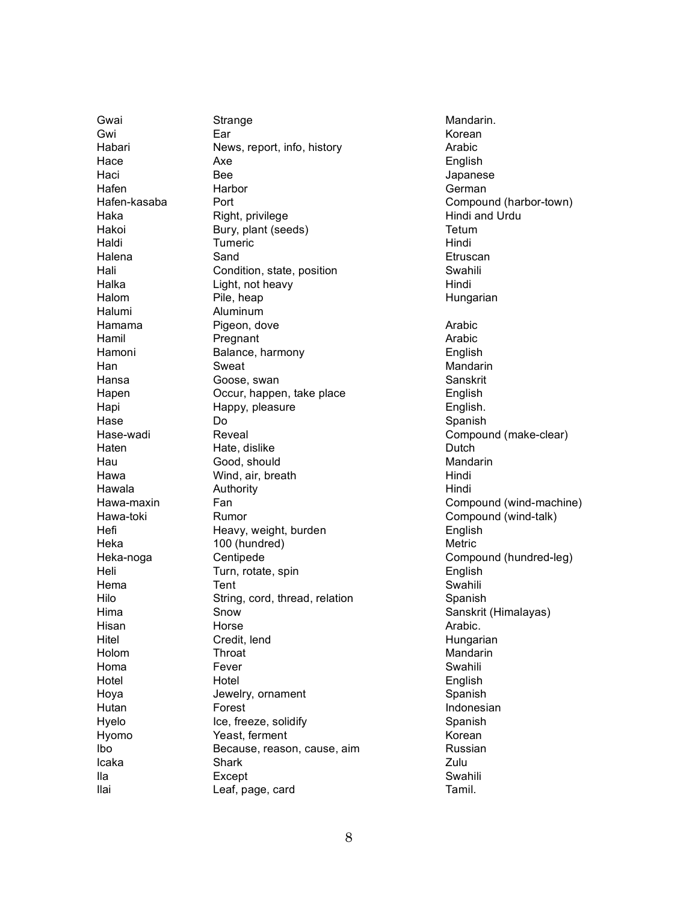Gwai G w i Habari Hace Haci Hafen Hafen-kasaba Haka Hakoi Haldi Halena Hali Halka Halom Halumi Hamama Hamil Hamoni H a n Hansa Hapen Hapi H a s e Hase-wadi Haten Hau H a w a Hawala Hawa-maxin Hawa-toki Hefi Heka Heka-noga Heli H e m a Hilo H i m a Hisan Hitel Holom Homa Hotel Hoya Hutan Hyelo Hyomo I b o I c a k a I l a I l a i

Strange E a r News, report, info, history Ax e B e e Harbor Port Right, privilege Bury, plant (seeds) **Tumeric** S a n d Condition, state, position Light, not heavy Pile, heap Aluminum Pigeon, dove Pregnant Balance, harmony Sweat Goose, swan Occur, happen, take place Happy, pleasure D o Reveal Hate, dislike Good, should Wind, air, breath Authority F a n Rumor Heavy, weight, burden 100 (hundred) Centipede Turn, rotate, spin Tent String, cord, thread, relation Snow Horse Credit, lend **Throat** Fever Hotel Jewelry, ornament Forest Ice, freeze, solidify Yeast, ferment Because, reason, cause, aim Shark Except Leaf, page, card

Mandarin. Korean Arabic English **Japanese** German Compound (harbor-town) Hindi and Urdu Tetum Hindi **Etruscan** Swahili Hindi Hungarian Arabic Arabic English Mandarin Sanskrit English English. Spanish Compound (make-clear) Dutch Mandarin Hindi Hindi Compound (wind-machine) Compound (wind-talk) English Metric Compound (hundred-leg) English Swahili Spanish Sanskrit (Himalayas) Arabic. Hungarian Mandarin Swahili English Spanish Indonesian Spanish Korean Russian Zulu Swahili Tamil.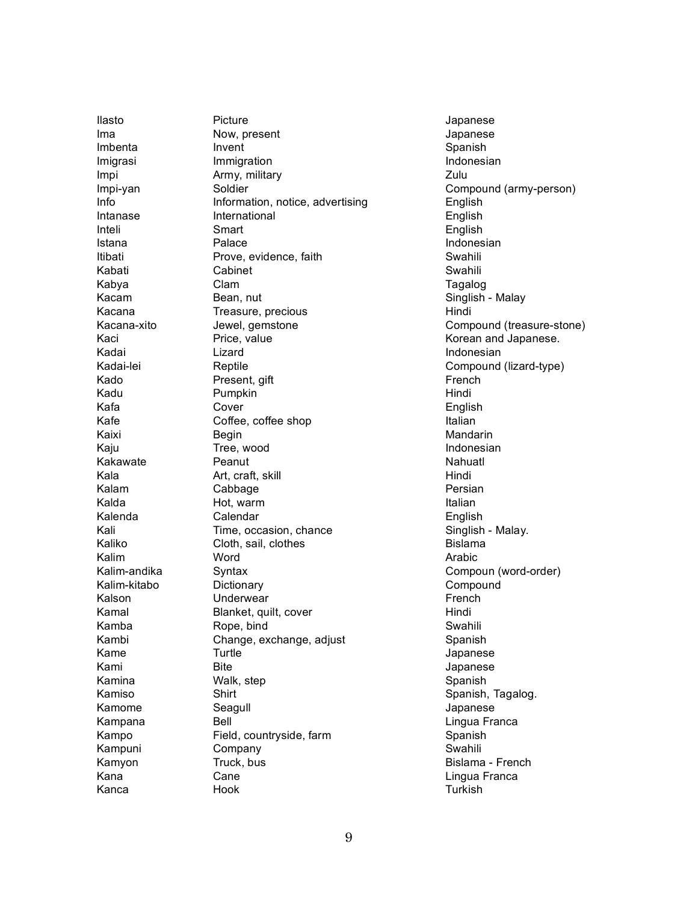llasto I m a Imbenta **Imigrasi** I m p i Impi-yan I n fo Intanase Inteli Istana **Itibati** Kabati K a b y a K a c a m K a c a n a Kacana-xito K a c i K a d a i Kadai-lei K a d o K a d u K a fa K a fe Kaixi K a j u Kakawate K a l a K a l a m Kalda Kalenda K a l i Kaliko Kalim Kalim-andika Kalim-kitabo Kalson K a m a l K a m b a K a m b i K a m e K a m i K a m i n a K a m i s o K a m o m e K a m p a n a K a m p o Kampuni K a m y o n K a n a K a n c a

Picture Now, present Invent Immigration Army, military Soldier Information, notice, advertising International Smart Palace Prove, evidence, faith Cabinet C l a m Bean, nut Treasure, precious Jewel, gemstone Price, value Lizard Reptile Present, gift Pumpkin Cover Coffee, coffee shop **Begin** Tree, wood Peanut Art, craft, skill Cabbage Hot, warm Calendar Time, occasion, chance Cloth, sail, clothes Word Syntax Dictionary Underwear Blanket, quilt, cover Rope, bind Change, exchange, adjust **Turtle Bite** Walk, step Shirt Seagull B e l l Field, countryside, farm Company Truck, bus Cane Hook

**Japanese Japanese** Spanish Indonesian Zulu Compound (army-person) English English English Indonesian Swahili Swahili **Tagalog** Singlish - Malay Hindi Compound (treasure-stone) Korean and Japanese. Indonesian Compound (lizard-type) French Hindi English **Italian** Mandarin Indonesian Nahuatl Hindi Persian **Italian** English Singlish - Malay. **Bislama** Arabic Compoun (word-order) Compound French Hindi Swahili Spanish **Japanese Japanese** Spanish Spanish, Tagalog. **Japanese** Lingua Franca Spanish Swahili Bislama - French Lingua Franca **Turkish**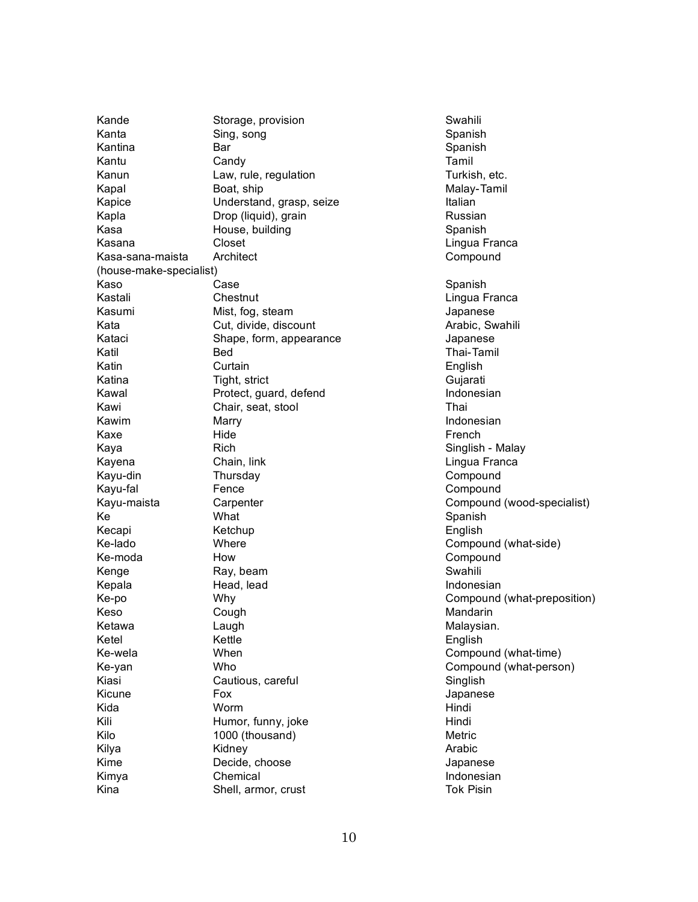Kande Storage, provision Swahili Kanta Sing, song Shanish Spanish Kantina **Bar** Bar Spanish Kantu Candy Candy Candy Candi Kanun Law, rule, regulation Turkish, etc. Kapal Boat, ship Boat, ship Malay-Tamil Kapice **Understand, grasp, seize** Italian Kapla **Drop (liquid), grain** Chronic Chronic Russian Russian Kasa **House, building** Spanish Spanish Kasana Closet Context Closet Closet Closet Close Close Close Close Lingua Franca Kasa-sana-maista Architect Compound (house-make-specialist) Kaso Case Case Spanish Kastali Chestnut Chestnut Chestnut Chestnut Chestnut Chestnut Chestnut Chestnut Chestnut Chestnut Chestnut Che Kasumi Mist, fog, steam Japanese Kata Cut, divide, discount Cuter Cut, divide, discount Arabic, Swahili Kataci Shape, form, appearance Japanese Katil Bed Bed Thai-Tamil Katin Curtain English Katina Tight, strict Cujarati Kawal **Protect, quard, defend Indonesian** Kawi Chair, seat, stool Thai Kawim Marry Marry **Indonesian** Kaxe Hide Hide **French** Kaya Rich Rich Singlish - Malay Kayena Chain, link Chain, compared Chain, and Chain, link Chain Chain Chain Chain Chain Chain Chain Chain Chai Kayu-din Thursday Thursday Compound Kayu-fal Fence Fence Compound Kayu-maista Carpenter Compound (wood-specialist) Ke Spanish Kecapi Ketchup English Ke-lado **Compound (what-side)** Where Compound (what-side) Ke-moda How How Compound Kenge Ray, beam Swahili Kepala **Indonesian** Head, lead Indonesian Indonesian Ke-po Why Compound (what-preposition) Keso Cough Cough Cough Mandarin Ketawa **Laugh** Laugh **Malaysian.** Ketel Kettle English Ke-wela **Compound (what-time)** When Compound (what-time) Ke-yan Who Compound (what-person) Kiasi Cautious, careful Cautions, careful Singlish Kicune Fox Fox Form Form The Bank Ricune Bank Form The Bank Ricune Bank Ricune Bank Ricune Bank Ricune Bank Ricune Bank Ricune Bank Ricune Bank Ricune Bank Ricune Bank Ricune Bank Ricune Bank Ricune Bank Ricune Bank Ricune Kida Worm Hindi Kili Humor, funny, joke Hindi Kilo 1000 (thousand) Metric Kilya Kidney Arabic Kime Decide, choose Japanese Kimya Chemical **Indonesian** Kina Shell, armor, crust Tok Pisin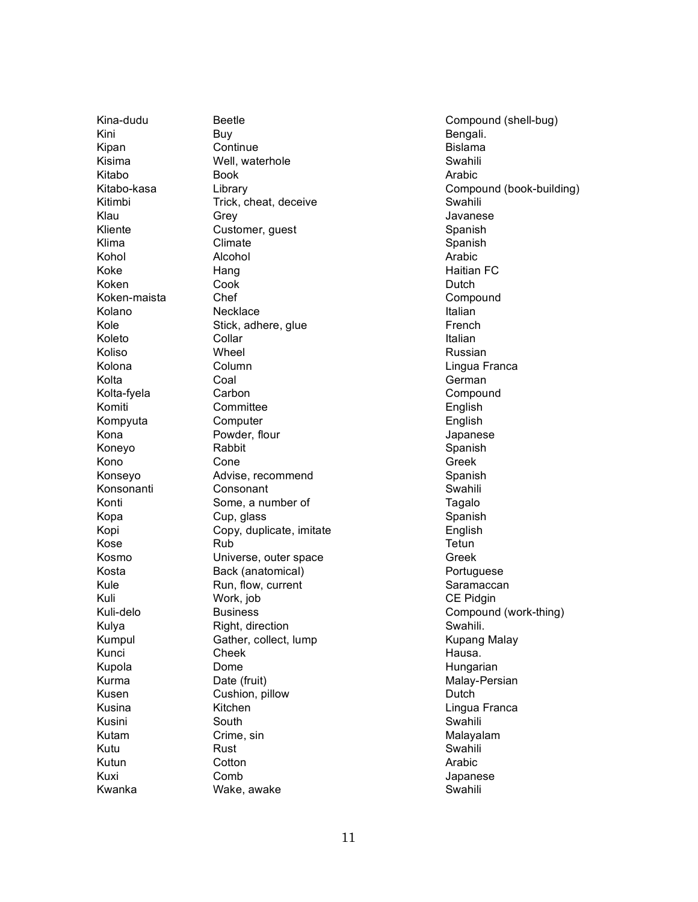Kina-dudu K i n i K i p a n K i s i m a Kitabo Kitabo-kasa Kitimbi K l a u Kliente K l i m a K o h o l K o k e Koken Koken-maista Kolano K o l e Koleto Koliso Kolona Kolta Kolta-fyela Komiti Kompyuta K o n a Koneyo K o n o Konseyo Konsonanti Konti K o p a K o p i K o s e K o s m o K o s t a Kule K u l i Kuli-delo Kulya **Kumpul** Kunci Kupola K u r m a K u s e n K u s i n a K u s i n i Kutam Kutu Kutun K u x i Kwanka

**Beetle** Buy Continue Well, waterhole Book Library Trick, cheat, deceive Grey Customer, guest Climate Alcohol Hang Cook Chef Necklace Stick, adhere, glue Collar Wheel Column Coal Carbon Committee Computer Powder, flour Rabbit Cone Advise, recommend Consonant Some, a number of Cup, glass Copy, duplicate, imitate R u b Universe, outer space Back (anatomical) Run, flow, current Work, job **Business** Right, direction Gather, collect, lump Cheek Dome Date (fruit) Cushion, pillow Kitchen South Crime, sin Rust Cotton C o m b Wake, awake

Compound (shell-bug) Bengali. **Bislama** Swahili Arabic Compound (book-building) Swahili Javanese Spanish Spanish Arabic Haitian FC Dutch Compound **Italian** French **Italian** Russian Lingua Franca German Compound English English **Japanese** Spanish Greek Spanish Swahili **Tagalo** Spanish English Tetun Greek Portuguese Saramaccan CE Pidgin Compound (work-thing) Swahili. Kupang Malay Hausa. Hungarian Malay-Persian Dutch Lingua Franca Swahili Malayalam Swahili Arabic **Japanese** Swahili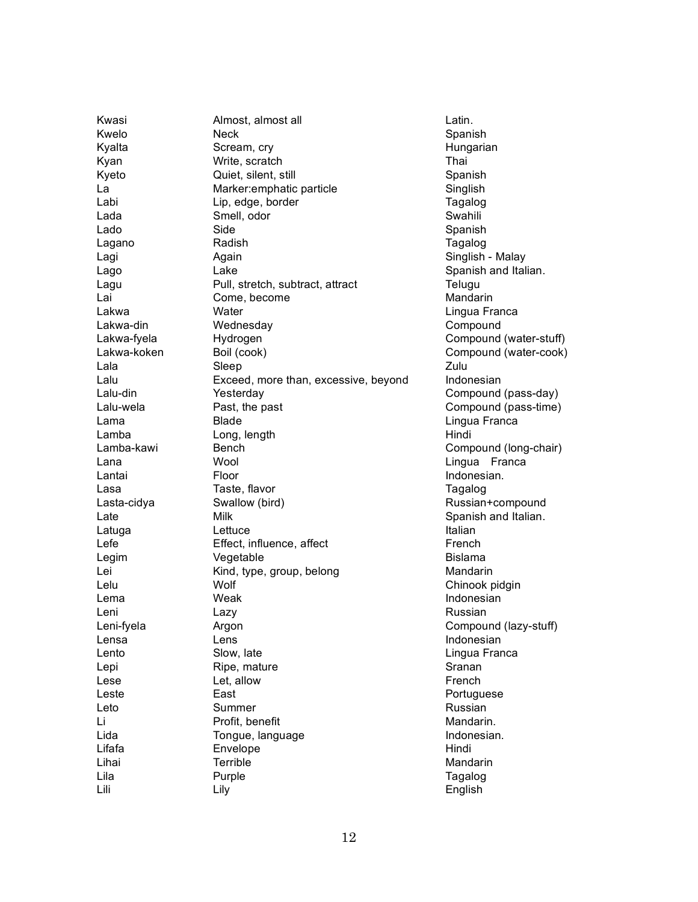Kwasi **Almost, almost all COVERTS** Extends Almost all **Latin.** Kwelo **Neck** Neck Spanish Kyalta Scream, cry Scream, cry Scream, cry Scream, cry Screen Screen Screen Hungarian Kyan Write, scratch Thai Kyeto **Guiet, silent, still Spanish** Spanish La Marker:emphatic particle Singlish Labi Lip, edge, border Tagalog Lada Smell, odor Smert Swahili Lado Side Side Spanish Lagano Radish Tagalog Lagi **Again** Again **Communist Again** Singlish - Malay Lago Casa Lake Casa Casa Spanish and Italian. Lagu **Pull, stretch, subtract, attract Pull** Lai Come, become Mandarin Lakwa **Water** Water **Lingua Franca** Lakwa-din **Compound** Wednesday **Compound** Compound Lakwa-fyela Hydrogen Compound (water-stuff) Lakwa-koken Boil (cook) Compound (water-cook) Lala Sleep Zulu Lalu **Exceed, more than, excessive, beyond** Indonesian Lalu-din Yesterday Compound (pass-day) Lalu-wela **Past, the past Past Past Compound (pass-time)** Lama Blade Lingua Franca Lamba Long, length Long Long Hindi Lamba-kawi Bench Compound (long-chair) Lana Wool Lingua Franca Lantai **Floor** Floor **Indonesian.** Lasa Taste, flavor Caster Caster Tagalog Lasta-cidya Swallow (bird) Russian+compound Late **Milk** Milk Spanish and Italian. Latuga **Lettuce** Lettuce **Italian** Lefe Effect, influence, affect Effect French Legim Vegetable **Bislama** Lei **Kind, type, group, belong** Mandarin Mandarin Lelu Wolf Chinook pidgin Lema Weak Indonesian Leni Lazy Lazy **Russian** Leni-fyela **Argon** Argon Compound (lazy-stuff) Lensa Lens Lens **Indonesian** Lento Slow, late Lingua Franca Lepi Ripe, mature Communication Sranan Lese Let, allow French Leste **East** East **Portuguese** Leto Summer Summer Russian Li Profit, benefit Mandarin. Lida Tongue, language Indonesian. Lifafa **Envelope Envelope Hindi** Lihai Terrible Mandarin Lila Purple Tagalog Lili Lily English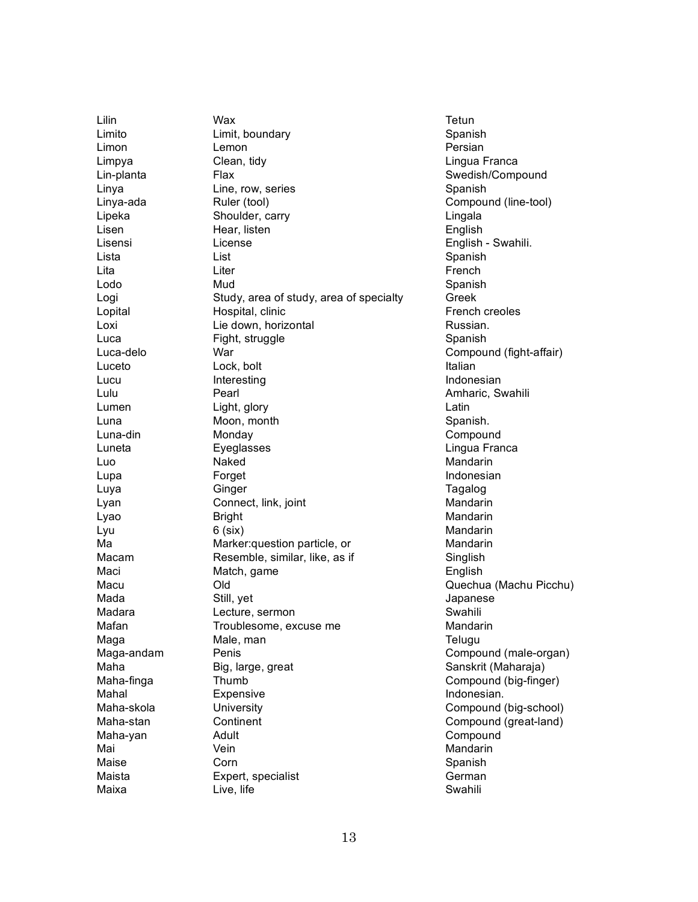Lilin Wax Tetun Limito **Limit, boundary** Changes and Changes Channel Channel Channel Channel Channel Channel Channel Channel Channel Channel Channel Channel Channel Channel Channel Channel Channel Channel Channel Channel Channel Channel C Limon **Lemon Lemon Contract Contract Persian** Limpya Clean, tidy Lingua Franca Lin-planta Flax Swedish/Compound Linya Cine, row, series Communication Communication Communication Spanish Linya-ada Ruler (tool) Compound (line-tool) Lipeka Shoulder, carry Lingala Lisen Hear, listen English Lisensi License English - Swahili. Lista List Spanish Lita **Liter** Liter **Contract Contract Liter** French Lodo Mud Spanish Logi Study, area of study, area of specialty Greek Lopital **Hospital, clinic Hospital**, clinic **French creoles** Loxi Lie down, horizontal Loxi Russian. Luca Fight, struggle Spanish Luca-delo **War** War Compound (fight-affair) Luceto Lock, bolt Lock and Lock and Lock and Lock and Lock and Lock and Lock and Lock and Lock and Lock and Lo Lucu Interesting Indonesian Lulu Pearl Pearl Amharic, Swahili Lumen Light, glory Latin Latin Luna Moon, month Spanish. Luna-din Monday Compound Luneta Eyeglasses Lingua Franca Luo Naked Naked Mandarin Lupa **Forget** Forget **Indonesian** Luya Ginger Ginger Tagalog Lyan Connect, link, joint Connect and Mandarin Lyao Bright Bright Mandarin Lyu 6 (six) Mandarin Ma Marker:question particle, or Mandarin Macam Resemble, similar, like, as if Singlish Maci Match, game **English** Macu Old Quechua (Machu Picchu) Mada Still, yet Still, and Still and Still and Still and Still and Still and Still and Still and Still and Still and Still and Still and Still and Still and Still and Still and Still and Still and Still and Still and Still Madara **Lecture, sermon Containery** Swahili Mafan Troublesome, excuse me Mandarin Maga Male, man man Telugu Maga-andam Penis Compound (male-organ) Maha Big, large, great Sanskrit (Maharaja) Maha-finga Thumb Thumb Compound (big-finger) Mahal **Expensive Expensive Indonesian.** Maha-skola **University** Compound (big-school) Maha-stan Continent Compound (great-land) Maha-yan Adult Adult Compound Mai Vein Mandarin Maise Corn Corn Spanish Maista **Expert, specialist** German Maixa Live, life Christian Maixa Swahili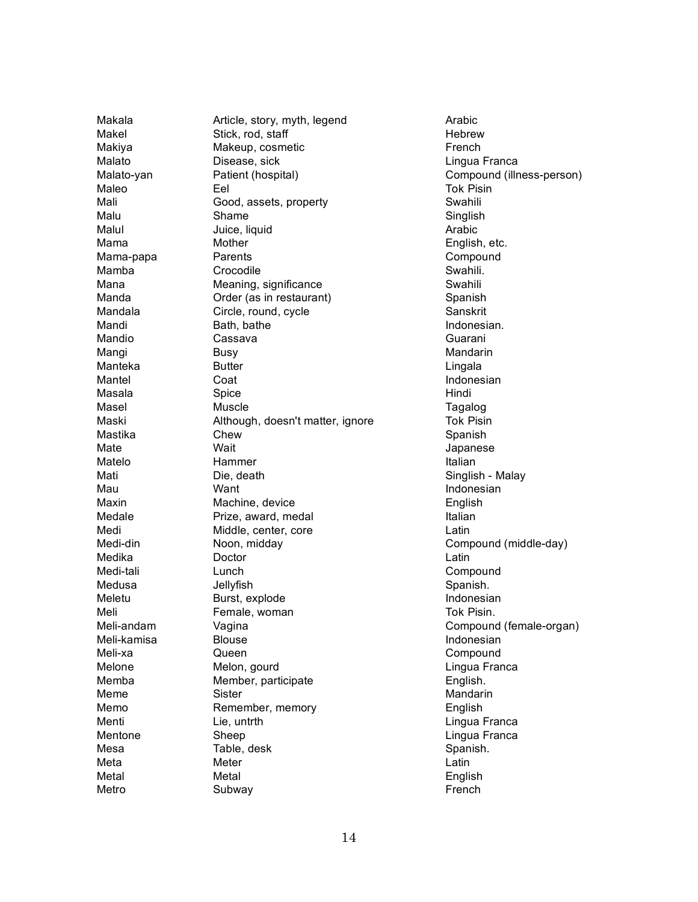Makala Makel Makiya Malato Malato-yan Maleo Mali Malu Malul M a m a Mama-papa M a m b a Mana Manda Mandala Mandi Mandio Mangi Manteka Mantel Masala Masel Maski Mastika Mate Matelo Mati Mau Maxin Medale Medi Medi-din Medika Medi-tali Medusa Meletu Meli Meli-andam Meli-kamisa Meli-xa Melone M e m b a Meme M e m o Menti Mentone M e s a Meta Metal Metro

Article, story, myth, legend Stick, rod, staff Makeup, cosmetic Disease, sick Patient (hospital) E e l Good, assets, property S h a m e Juice, liquid Mother Parents Crocodile Meaning, significance Order (as in restaurant) Circle, round, cycle Bath, bathe Cassava **Busy Butter** Coat Spice Muscle Although, doesn't matter, ignore **Chew** Wait Hammer Die, death Want Machine, device Prize, award, medal Middle, center, core Noon, midday Doctor Lunch Jellyfish Burst, explode Female, woman Vagina **Blouse** Queen Melon, gourd Member, participate Sister Remember, memory Lie, untrth Sheep Table, desk Meter Metal Subway

Arabic **Hebrew** French Lingua Franca Compound (illness-person) Tok Pisin Swahili Singlish Arabic English, etc. Compound Swahili. Swahili Spanish Sanskrit Indonesian. Guarani Mandarin Lingala Indonesian Hindi **Tagalog** Tok Pisin Spanish **Japanese Italian** Singlish - Malay Indonesian English **Italian** Latin Compound (middle-day) Latin Compound Spanish. Indonesian Tok Pisin. Compound (female-organ) Indonesian Compound Lingua Franca English. Mandarin English Lingua Franca Lingua Franca Spanish. Latin English French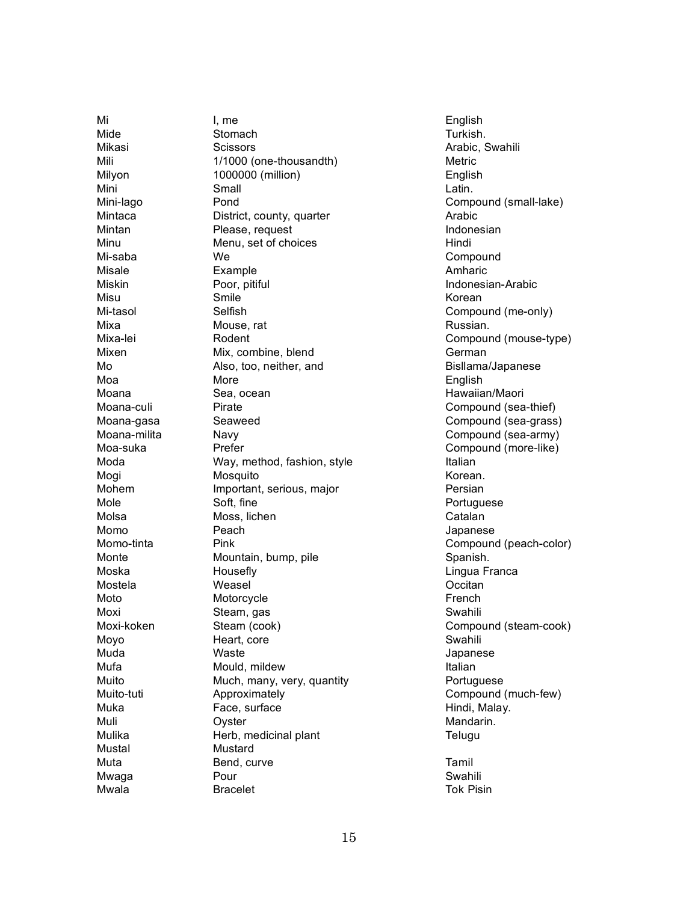M i M i d e Mikasi Mili Milyon Mini Mini-lago Mintaca Mintan Minu Mi-saba Misale Miskin Misu Mi-tasol M i x a Mixa-lei Mixen M o M o a Moana Moana-culi Moana-gasa Moana-milita Moa-suka Moda Mogi Mohem Mole Molsa Momo Momo-tinta Monte Moska Mostela Moto Moxi Moxi-koken Moyo M u d a M u f a Muito Muito-tuti Muka Muli Mulika Mustal Muta M w a g a Mwala

I , m e Stomach **Scissors** 1/1000 (one-thousandth) 1000000 (million) Small Pond District, county, quarter Please, request Menu, set of choices W e **Example** Poor, pitiful Smile Selfish Mouse, rat Rodent Mix, combine, blend Also, too, neither, and More Sea, ocean Pirate Seaweed Navy Prefer Way, method, fashion, style Mosquito Important, serious, major Soft, fine Moss, lichen Peach Pink Mountain, bump, pile Housefly Weasel Motorcycle Steam, gas Steam (cook) Heart, core Waste Mould, mildew Much, many, very, quantity Approximately Face, surface Oyster Herb, medicinal plant Mustard Bend, curve Pour **Bracelet** 

English Turkish. Arabic, Swahili Metric English Latin. Compound (small-lake) Arabic Indonesian Hindi Compound Amharic Indonesian-Arabic Korean Compound (me-only) Russian. Compound (mouse-type) German Bisllama/Japanese English Hawaiian/Maori Compound (sea-thief) Compound (sea-grass) Compound (sea-army) Compound (more-like) **Italian** Korean. Persian Portuguese Catalan **Japanese** Compound (peach-color) Spanish. Lingua Franca Occitan French Swahili Compound (steam-cook) Swahili **Japanese Italian** Portuguese Compound (much-few) Hindi, Malay. Mandarin. **Telugu** T a m i l

Swahili Tok Pisin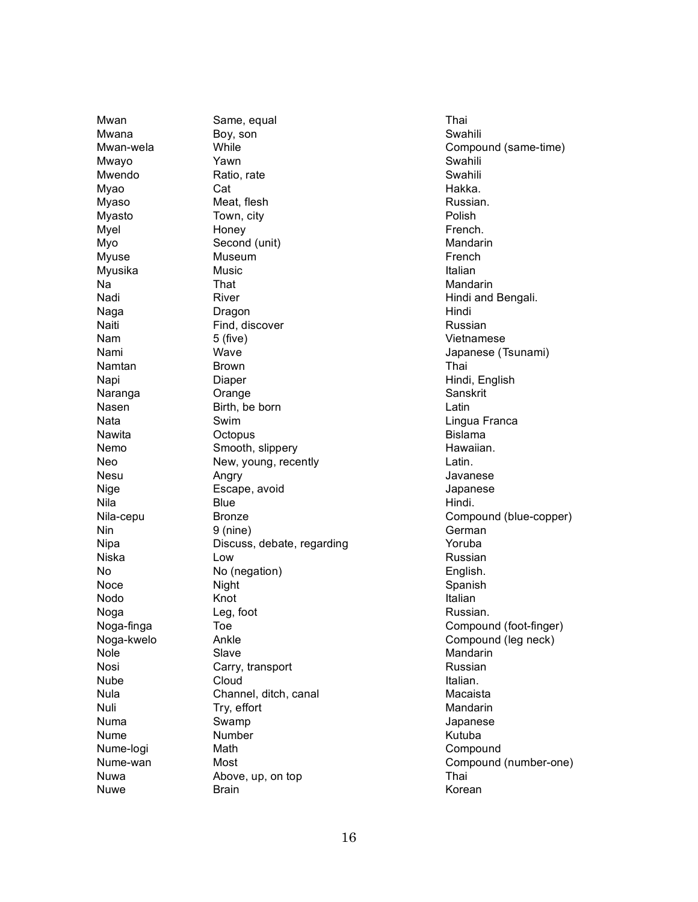Mwan Mwana Mwan-wela Mwayo Mwendo M y a o M y a s o Myasto Myel M y o Myuse Myusika N a N a d i N a g a Naiti N a m N a m i Namtan Napi Naranga Nasen Nata Nawita N e m o N e o Nesu Nige N i l a Nila-cepu N i n **Nipa** Niska N o Noce Nodo Noga Noga-finga Noga-kwelo Nole Nosi **Nube** Nula Nuli N u m a **Nume** Nume-logi Nume-wan Nuwa Nuwe

Same, equal Boy, son While Y a w n Ratio, rate Cat Meat, flesh Town, city Honey Second (unit) Museum Music T h a t River Dragon Find, discover 5 ( f i v e ) Wave **Brown** Diaper Orange Birth, be born S w i m Octopus Smooth, slippery New, young, recently Angry Escape, avoid **Blue Bronze** 9 (nine) Discuss, debate, regarding L o w No (negation) **Night** K n o t Leg, foot T o e Ankle Slave Carry, transport Cloud Channel, ditch, canal Try, effort S w a m p Number Math Most Above, up, on top **Brain** 

T h a i Swahili Compound (same-time) Swahili Swahili Hakka. Russian. Polish French. Mandarin French **Italian** Mandarin Hindi and Bengali. Hindi Russian Vietnamese Japanese (Tsunami) T h a i Hindi, English Sanskrit Latin Lingua Franca **Bislama** Hawaiian. Latin. Javanese **Japanese** Hindi. Compound (blue-copper) German Yoruba Russian English. Spanish **Italian** Russian. Compound (foot-finger) Compound (leg neck) Mandarin Russian Italian. Macaista Mandarin **Japanese** K u t u b a Compound Compound (number-one) T h a i Korean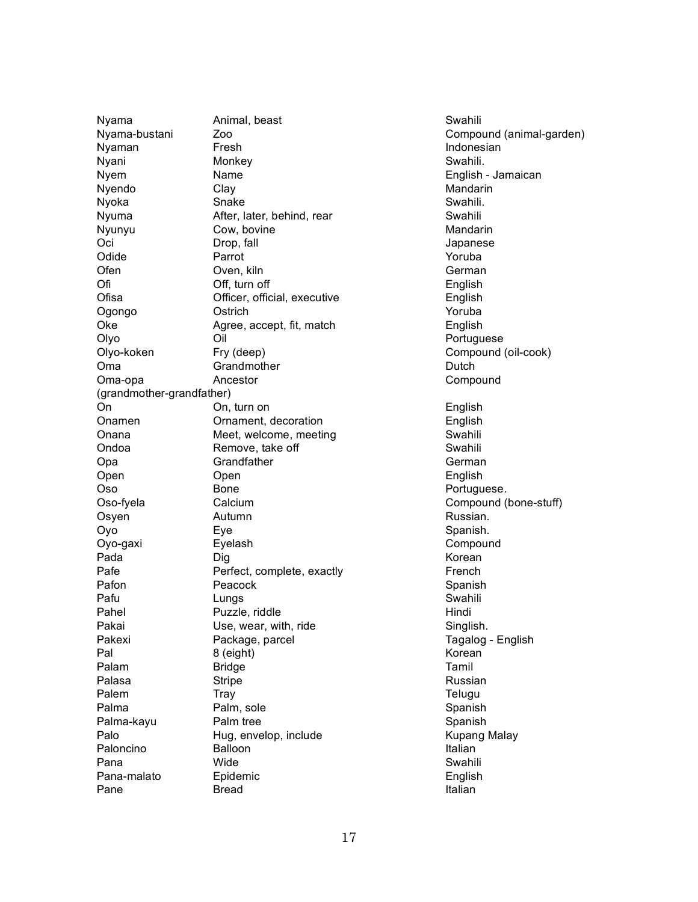Nyama **Animal, beast** Animal, beast Animal, beast Animal, beast Animal Animal Animal Animal Animal Animal Animal Animal Animal Animal Animal Animal Animal Animal Animal Animal Animal Animal Animal Animal Animal Animal Anim Nyama-bustani Zoo Compound (animal-garden) Nyaman Fresh **Indonesian** Nyani Monkey **Swahili**. Nyem Name English - Jamaican Nyendo Clay Clay Clay Clay Clay Clay Clance Clay Clay Nyoka Snake Shake Swahili. Nyuma **After, later, behind, rear** Swahili Nyunyu Cow, bovine Cow, and a Mandarin Oci Drop, fall Japanese Odide **Parrot** Parrot **Parrot** Parrot **Parrot** Parrot **Parrot** Parrot **Parrot** Parrot **Parrot** Parrot **Parrot** Parrot **Parrot** Parrot **Parrot** Parrot **Parrot** Parrot **Parrot** Parrot **Parrot** Parrot **Parrot** Parrot **Parrot** Ofen Oven, kiln German German Ofi Off, turn off English Ofisa Officer, official, executive English Ogongo Ostrich Yoruba Oke Agree, accept, fit, match English Olyo Oil Oil Portuguese Olyo-koken Fry (deep) Compound (oil-cook) Oma Grandmother Grandmother Channels Dutch Oma-opa Ancestor Compound (grandmother-grandfather) On On, turn on Contract on English Onamen Ornament, decoration English Onana Meet, welcome, meeting and Swahili Ondoa **Remove, take off** Swahili Opa Grandfather Grandfather German Open Open English Oso Bone Bone Portuguese. Oso-fyela Calcium Compound (bone-stuff) Osyen Autumn **Autumn** Autumn **Russian.** Oyo Eye Eye Spanish. Oyo-gaxi Eyelash Compound Pada **Dig Reserves Dig Korean** Pafe **Perfect, complete, exactly Particle Particle Prench** Pafon **Peacock Peacock** Spanish Pafu Channel Lungs Channel Channel Swahili Pahel Puzzle, riddle Hindi Pakai Charles Use, wear, with, ride Charles Charles Singlish. Pakexi Package, parcel Tagalog - English Pal 8 (eight) 8 (eight) Rorean Palam Bridge **Tamil** Palasa Stripe Stripe Stripe Stripe Stripe Stripe Stripe Stripe Stripe Stripe Stripe Stripe Stripe Stripe Strip Palem Tray Transformation of the Telugu Palma Palm, sole Spanish Palma-kayu Palm tree Spanish Palo **Hug, envelop, include** Kupang Malay Paloncino Balloon **Balloon** Italian Pana Swahili Nide Swahili na Swahili na matsayin na sanada a shekarar na Swahili Pana-malato Epidemic English English Pane Bread Bread Italian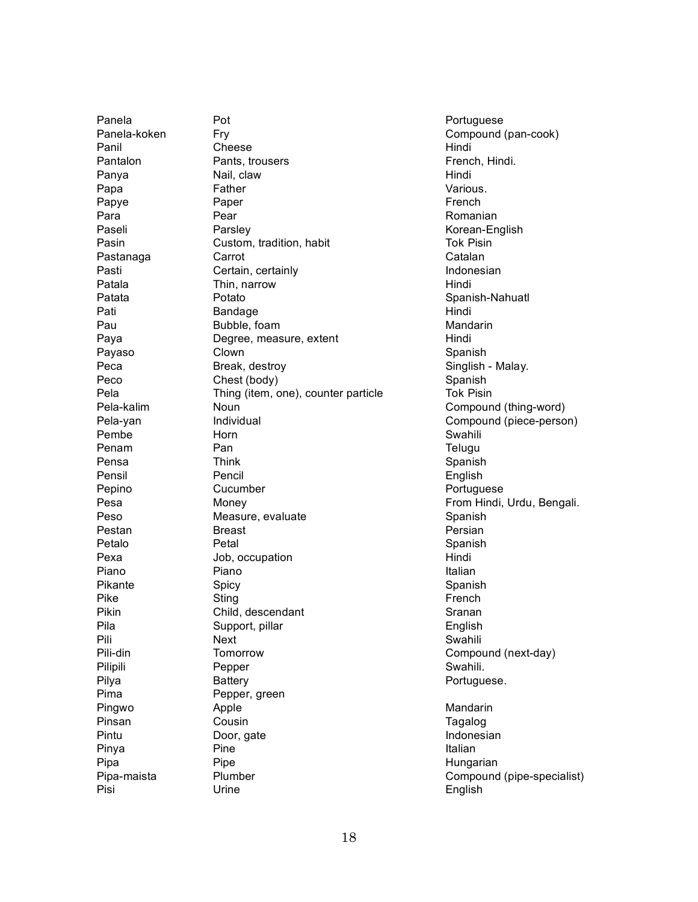Panela Panela-koken Panil Pantalon Panya Papa Papye Para Paseli Pasin Pastanaga Pasti Patala Patata Pati Pau Paya Payaso Peca Peco Pela Pela-kalim Pela-yan Pembe Penam Pensa Pensil Pepino Pesa Peso Pestan Petalo Pexa Piano Pikante P i k e Pikin Pila P i l i Pili-din Pilipili Pilya P i m a Pingwo Pinsan Pintu Pinya Pipa Pipa-maista Pisi

Pot F r y Cheese Pants, trousers Nail, claw Father Paper Pear Parsley Custom, tradition, habit Carrot Certain, certainly Thin, narrow Potato **Bandage** Bubble, foam Degree, measure, extent Clown Break, destroy Chest (body) Thing (item, one), counter particle Noun Individual Horn P a n **Think** Pencil Cucumber Money Measure, evaluate **Breast** Petal Job, occupation Piano Spicy Sting Child, descendant Support, pillar Next **Tomorrow** Pepper **Battery** Pepper, green **Apple** Cousin Door, gate Pine Pipe Plumber Urine

Portuguese Compound (pan-cook) Hindi French, Hindi. Hindi Various. French Romanian Korean-English Tok Pisin Catalan Indonesian Hindi Spanish-Nahuatl Hindi Mandarin Hindi Spanish Singlish - Malay. Spanish Tok Pisin Compound (thing-word) Compound (piece-person) Swahili **Telugu** Spanish English Portuguese From Hindi, Urdu, Bengali. Spanish Persian Spanish Hindi **Italian** Spanish French Sranan English Swahili Compound (next-day) Swahili. Portuguese. Mandarin **Tagalog** Indonesian **Italian** 

Hungarian

Compound (pipe-specialist)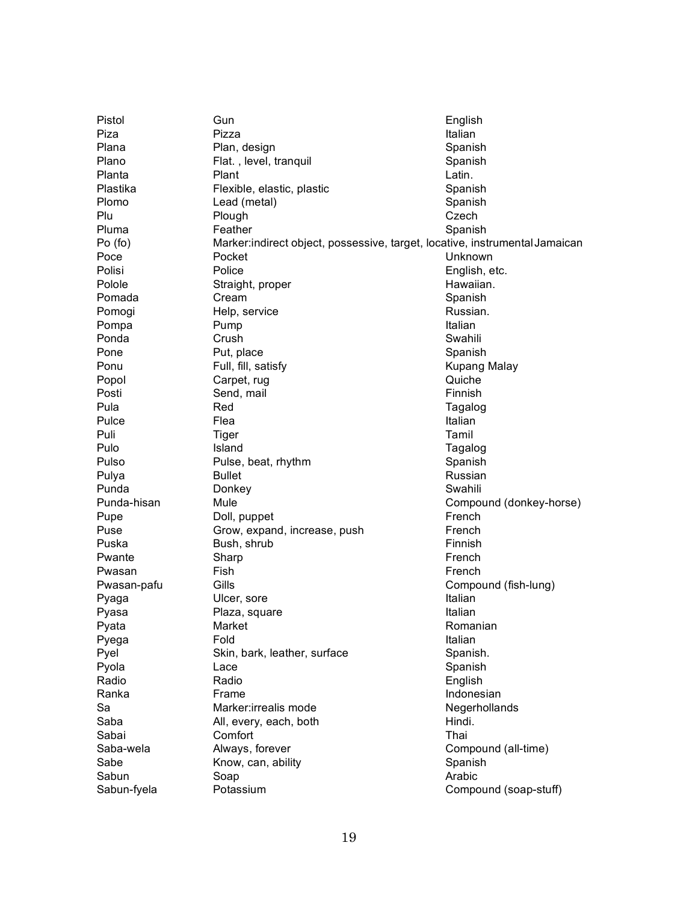| Pistol      | Gun                                                                          | English                 |
|-------------|------------------------------------------------------------------------------|-------------------------|
| Piza        | Pizza                                                                        | Italian                 |
| Plana       | Plan, design                                                                 | Spanish                 |
| Plano       | Flat., level, tranquil                                                       | Spanish                 |
| Planta      | Plant                                                                        | Latin.                  |
| Plastika    | Flexible, elastic, plastic                                                   | Spanish                 |
| Plomo       | Lead (metal)                                                                 | Spanish                 |
| Plu         | Plough                                                                       | Czech                   |
| Pluma       | Feather                                                                      | Spanish                 |
| Po (fo)     | Marker: indirect object, possessive, target, locative, instrumental Jamaican |                         |
| Poce        | Pocket                                                                       | Unknown                 |
| Polisi      | Police                                                                       | English, etc.           |
| Polole      | Straight, proper                                                             | Hawaiian.               |
| Pomada      | Cream                                                                        | Spanish                 |
| Pomogi      | Help, service                                                                | Russian.                |
| Pompa       | Pump                                                                         | Italian                 |
| Ponda       | Crush                                                                        | Swahili                 |
| Pone        | Put, place                                                                   | Spanish                 |
| Ponu        | Full, fill, satisfy                                                          | <b>Kupang Malay</b>     |
| Popol       | Carpet, rug                                                                  | Quiche                  |
| Posti       | Send, mail                                                                   | Finnish                 |
| Pula        | Red                                                                          |                         |
|             | Flea                                                                         | Tagalog<br>Italian      |
| Pulce       |                                                                              |                         |
| Puli        | Tiger                                                                        | Tamil                   |
| Pulo        | Island                                                                       | Tagalog                 |
| Pulso       | Pulse, beat, rhythm                                                          | Spanish                 |
| Pulya       | <b>Bullet</b>                                                                | Russian                 |
| Punda       | Donkey                                                                       | Swahili                 |
| Punda-hisan | Mule                                                                         | Compound (donkey-horse) |
| Pupe        | Doll, puppet                                                                 | French                  |
| Puse        | Grow, expand, increase, push                                                 | French                  |
| Puska       | Bush, shrub                                                                  | Finnish                 |
| Pwante      | Sharp                                                                        | French                  |
| Pwasan      | Fish                                                                         | French                  |
| Pwasan-pafu | Gills                                                                        | Compound (fish-lung)    |
| Pyaga       | Ulcer, sore                                                                  | Italian                 |
| Pyasa       | Plaza, square                                                                | Italian                 |
| Pyata       | Market                                                                       | Romanian                |
| Pyega       | Fold                                                                         | Italian                 |
| Pyel        | Skin, bark, leather, surface                                                 | Spanish.                |
| Pyola       | Lace                                                                         | Spanish                 |
| Radio       | Radio                                                                        | English                 |
| Ranka       | Frame                                                                        | Indonesian              |
| Sa          | Marker: irrealis mode                                                        | Negerhollands           |
| Saba        | All, every, each, both                                                       | Hindi.                  |
| Sabai       | Comfort                                                                      | Thai                    |
| Saba-wela   | Always, forever                                                              | Compound (all-time)     |
| Sabe        | Know, can, ability                                                           | Spanish                 |
| Sabun       | Soap                                                                         | Arabic                  |
| Sabun-fyela | Potassium                                                                    | Compound (soap-stuff)   |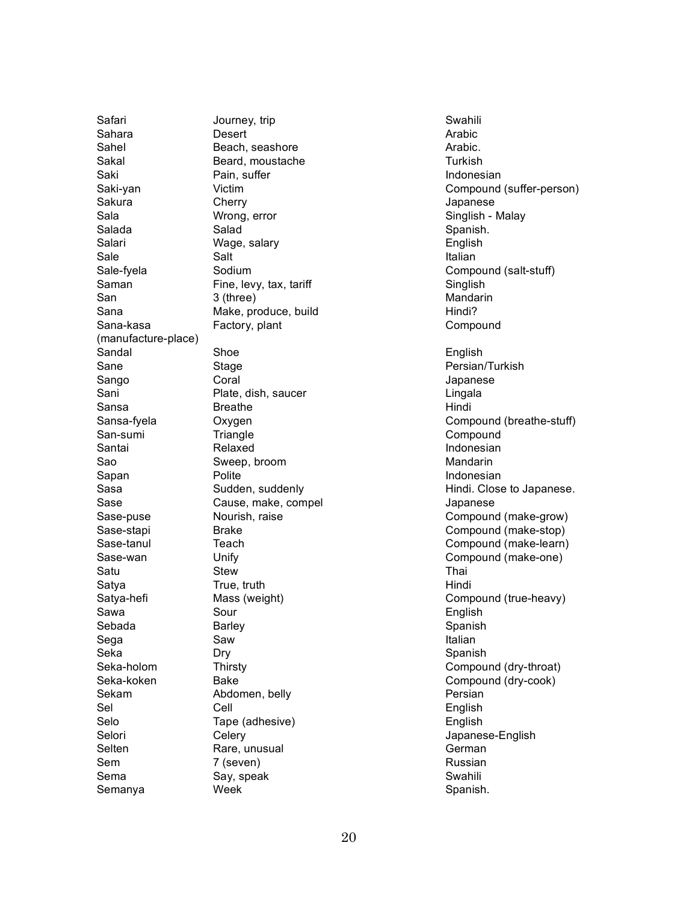Safari Sahara Sahel Sakal Saki Saki-yan Sakura S a l a Salada Salari Sale Sale-fyela S a m a n S a n S a n a Sana-kasa (manufacture-place) Sandal S a n e Sango Sani S a n s a Sansa-fyela San-sumi Santai S a o Sapan S a s a S a s e Sase-puse Sase-stapi Sase-tanul Sase-wan Satu Satya Satya-hefi S a w a S e b a d a S e g a S e k a Seka-holom Seka-koken S e k a m S e l Selo Selori Selten S e m S e m a Semanya

Journey, trip Desert Beach, seashore Beard, moustache Pain, suffer Victim Cherry Wrong, error Salad Wage, salary Salt Sodium Fine, levy, tax, tariff 3 (three) Make, produce, build Factory, plant S h o e Stage Coral Plate, dish, saucer **Breathe** Oxygen **Triangle** Relaxed Sweep, broom Polite Sudden, suddenly Cause, make, compel Nourish, raise **Brake** T e a c h Unify Stew True, truth Mass (weight) Sour **Barley** S a w D r y **Thirsty** B a k e Abdomen, belly Cell Tape (adhesive) Celery Rare, unusual 7 (seven) Say, speak Week

Swahili Arabic Arabic. **Turkish** Indonesian Compound (suffer-person) **Japanese** Singlish - Malay Spanish. English **Italian** Compound (salt-stuff) Singlish Mandarin Hindi? Compound English Persian/Turkish **Japanese** Lingala Hindi Compound (breathe-stuff) Compound Indonesian Mandarin Indonesian Hindi. Close to Japanese. **Japanese** Compound (make-grow) Compound (make-stop) Compound (make-learn) Compound (make-one) T h a i Hindi Compound (true-heavy) English Spanish **Italian** Spanish Compound (dry-throat) Compound (dry-cook) Persian English English Japanese-English German Russian Swahili Spanish.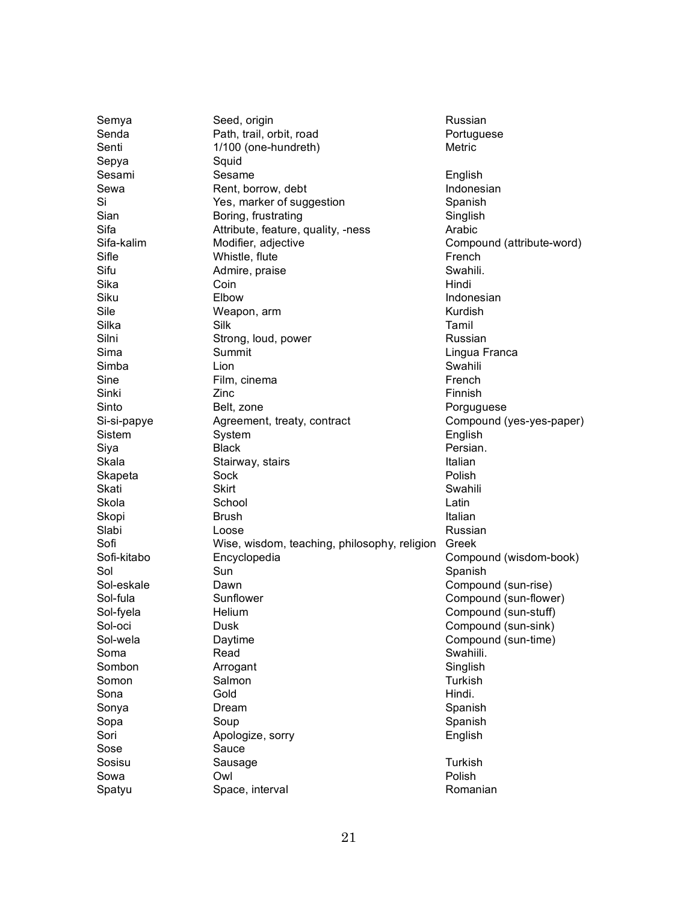| Semya       | Seed, origin                                 | Russian                   |
|-------------|----------------------------------------------|---------------------------|
| Senda       | Path, trail, orbit, road                     | Portuguese                |
| Senti       | 1/100 (one-hundreth)                         | Metric                    |
| Sepya       | Squid                                        |                           |
| Sesami      | Sesame                                       | English                   |
| Sewa        | Rent, borrow, debt                           | Indonesian                |
| Si          | Yes, marker of suggestion                    | Spanish                   |
| Sian        | Boring, frustrating                          | Singlish                  |
| Sifa        | Attribute, feature, quality, -ness           | Arabic                    |
| Sifa-kalim  | Modifier, adjective                          | Compound (attribute-word) |
| Sifle       | Whistle, flute                               | French                    |
| Sifu        | Admire, praise                               | Swahili.                  |
| Sika        | Coin                                         | Hindi                     |
| Siku        | Elbow                                        | Indonesian                |
| Sile        | Weapon, arm                                  | Kurdish                   |
| Silka       | Silk                                         | Tamil                     |
| Silni       | Strong, loud, power                          | Russian                   |
| Sima        | Summit                                       | Lingua Franca             |
| Simba       | Lion                                         | Swahili                   |
| Sine        | Film, cinema                                 | French                    |
| Sinki       | Zinc                                         | Finnish                   |
| Sinto       | Belt, zone                                   | Porguguese                |
| Si-si-papye | Agreement, treaty, contract                  | Compound (yes-yes-paper)  |
| Sistem      | System                                       | English                   |
| Siya        | <b>Black</b>                                 | Persian.                  |
| Skala       | Stairway, stairs                             | Italian                   |
| Skapeta     | Sock                                         | Polish                    |
| Skati       | <b>Skirt</b>                                 | Swahili                   |
| Skola       | School                                       | Latin                     |
| Skopi       | <b>Brush</b>                                 | Italian                   |
| Slabi       | Loose                                        | Russian                   |
| Sofi        | Wise, wisdom, teaching, philosophy, religion | Greek                     |
| Sofi-kitabo | Encyclopedia                                 | Compound (wisdom-book)    |
| Sol         | Sun                                          | Spanish                   |
| Sol-eskale  | Dawn                                         | Compound (sun-rise)       |
| Sol-fula    | Sunflower                                    | Compound (sun-flower)     |
| Sol-fyela   | Helium                                       | Compound (sun-stuff)      |
| Sol-oci     | Dusk                                         | Compound (sun-sink)       |
| Sol-wela    | Daytime                                      | Compound (sun-time)       |
| Soma        | Read                                         | Swahiili.                 |
| Sombon      | Arrogant                                     | Singlish                  |
| Somon       | Salmon                                       | Turkish                   |
| Sona        | Gold                                         | Hindi.                    |
| Sonya       | Dream                                        | Spanish                   |
| Sopa        | Soup                                         | Spanish                   |
| Sori        |                                              | English                   |
| Sose        | Apologize, sorry<br>Sauce                    |                           |
|             |                                              | Turkish                   |
| Sosisu      | Sausage                                      |                           |
| Sowa        | Owl                                          | Polish                    |
| Spatyu      | Space, interval                              | Romanian                  |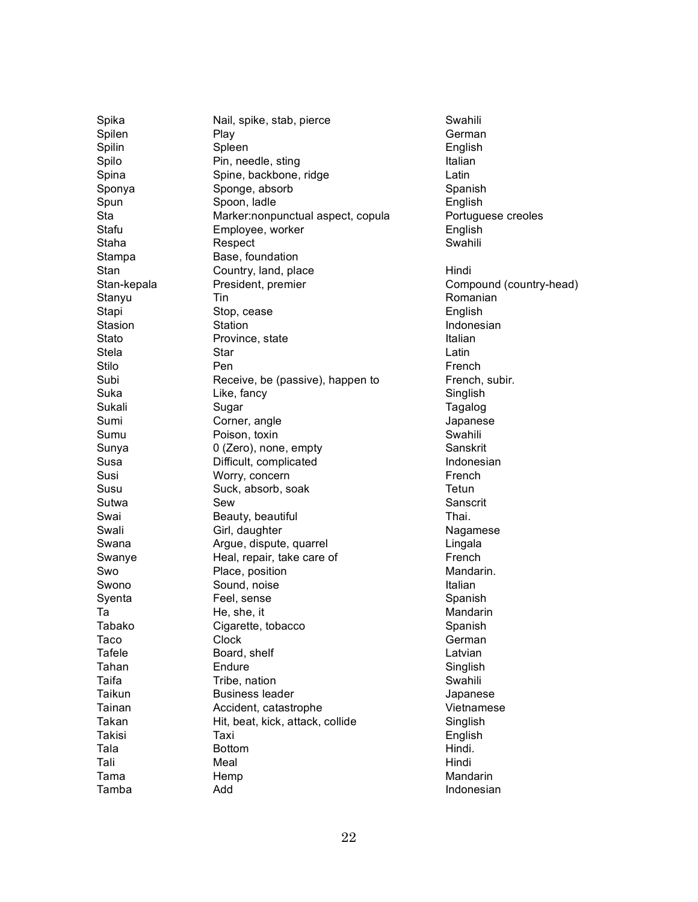Spika Spilen Spilin Spilo Spina Sponya Spun S t a Stafu Staha **Stampa** Stan Stan-kepala Stanyu Stapi Stasion Stato Stela Stilo Subi S u k a Sukali S u m i S u m u Sunya S u s a Susi S u s u Sutwa Swai Swali S w a n a Swanye S w o Swono Syenta T a T a b a k o T a c o **Tafele** T a h a n T a i f a Taikun **Tainan** Takan Takisi T a l a T a l i T a m a T a m b a

Nail, spike, stab, pierce Play Spleen Pin, needle, sting Spine, backbone, ridge Sponge, absorb Spoon, ladle Marker:nonpunctual aspect, copula Employee, worker Respect Base, foundation Country, land, place President, premier T i n Stop, cease Station Province, state Star P e n Receive, be (passive), happen to Like, fancy Sugar Corner, angle Poison, toxin 0 (Zero), none, empty Difficult, complicated Worry, concern Suck, absorb, soak S e w Beauty, beautiful Girl, daughter Argue, dispute, quarrel Heal, repair, take care of Place, position Sound, noise Feel, sense He, she, it Cigarette, tobacco Clock Board, shelf **Endure** Tribe, nation Business leader Accident, catastrophe Hit, beat, kick, attack, collide T a x i **Bottom** Meal **Hemp** A d d

Swahili German English **Italian** Latin Spanish English Portuguese creoles English Swahili Hindi Compound (country-head) Romanian English Indonesian **Italian** Latin French French, subir. Singlish **Tagalog Japanese** Swahili Sanskrit Indonesian French Tetun Sanscrit Thai. **Nagamese** Lingala French Mandarin. **Italian** Spanish Mandarin Spanish German Latvian Singlish Swahili **Japanese** Vietnamese Singlish English Hindi. Hindi Mandarin Indonesian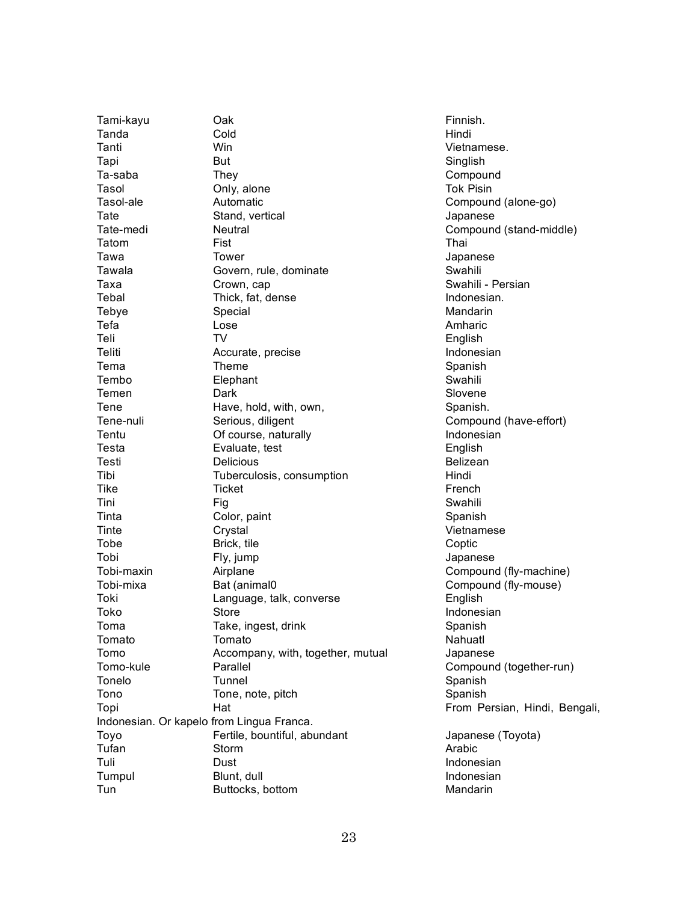Tami-kayu Oak Finnish. Tanda Cold Cold Hindi Tanti Win Vietnamese. Tapi But But Singlish Ta-saba They They Compound Tasol **Only, alone** Context Context Context Context Context Context Tok Pisin Tasol-ale **Automatic** Compound (alone-go) Tate Stand, vertical Japanese Tate-medi Neutral Compound (stand-middle) Tatom Fist Fist **Thai** Tawa Tower Japanese Tawala Govern, rule, dominate Covenhili Taxa Crown, cap Crown, cap Swahili - Persian Tebal Thick, fat, dense Indonesian. Tebye Special Second Special Second Second Second Mandarin Tefa Lose Amharic Teli TV English Teliti **Accurate, precise Indonesian** *Accurate*, precise **Indonesian** Tema Theme Theme Spanish Tembo Elephant Element Swahili Temen Dark Dark Slovene Tene Have, hold, with, own, Spanish. Tene-nuli Serious, diligent Compound (have-effort) Tentu **Of course, naturally Indonesian** Testa Evaluate, test English Testi Delicious Delicious Belizean Tibi Tuberculosis, consumption Hindi Tike French Tini Swahili Tinta Color, paint Color, and Spanish Tinte Crystal Vietnamese Tobe Brick, tile Brick, tile Coptic Tobi Fly, jump Japanese Tobi-maxin Airplane Airplane Compound (fly-machine) Tobi-mixa Bat (animal0 Compound (fly-mouse) Toki Language, talk, converse English Toko Store Store Indonesian Toma Take, ingest, drink Toma Spanish Tomato Tomato Nahuatl Tomo Accompany, with, together, mutual Japanese Tomo-kule Parallel Compound (together-run) Tonelo Tunnel Tunnel Spanish Tono Tone, note, pitch Tono Spanish Topi **Hat** Hat From Persian, Hindi, Bengali, Indonesian. Or kapelo from Lingua Franca. Toyo Fertile, bountiful, abundant Japanese (Toyota) Tufan Storm Storm Arabic Tuli Dust Indonesian Tumpul Blunt, dull Indonesian Tun Buttocks, bottom **Mandarin**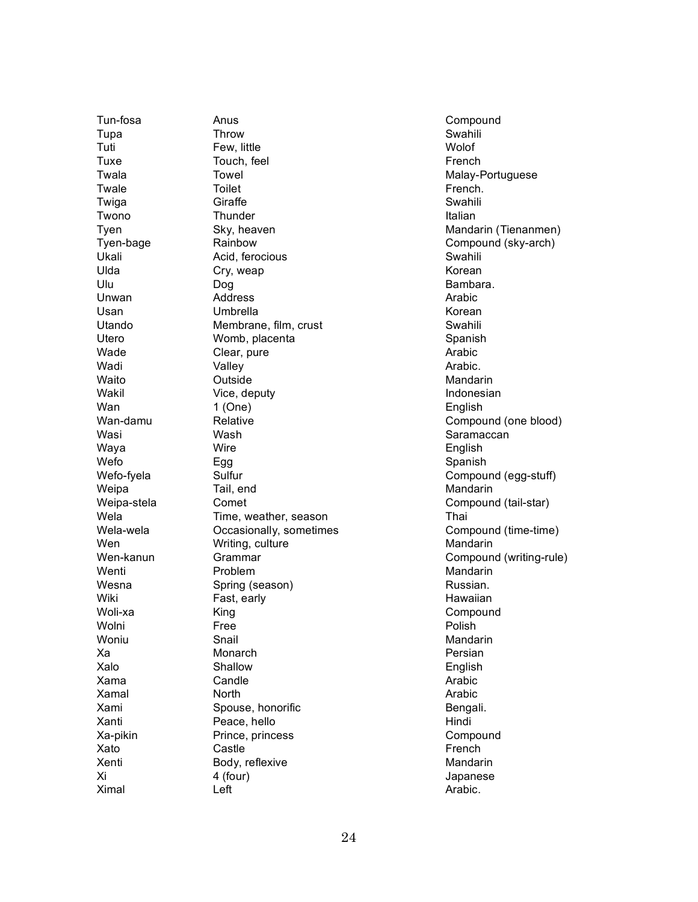T u n - fo s a T u p a Tuti T u x e **Twala Twale Twiga Twono Tyen** Tyen-bage Ukali Ulda Ulu Unwan Usan Utando Utero Wade Wadi Waito Wakil W a n Wan-damu Wasi Waya W e fo Wefo-fyela Weipa Weipa-stela Wela Wela-wela W e n Wen-kanun Wenti Wesna Wiki Woli-xa Wolni Woniu X a X a l o X a m a X a m a l X a m i Xanti Xa-pikin Xato Xenti X i X i m a l

Anus **Throw** Few, little Touch, feel **Towel Toilet Giraffe Thunder** Sky, heaven Rainbow Acid, ferocious Cry, weap D o g **Address** Umbrella Membrane, film, crust Womb, placenta Clear, pure Valley Outside Vice, deputy 1 ( O n e ) Relative Wash Wire E g g Sulfur Tail, end Comet Time, weather, season Occasionally, sometimes Writing, culture **Grammar** Problem Spring (season) Fast, early K i n g F r e e Snail Monarch Shallow Candle North Spouse, honorific Peace, hello Prince, princess Castle Body, reflexive 4 (four) L e ft

Compound Swahili Wolof French Malay-Portuguese French. Swahili **Italian** Mandarin (Tienanmen) Compound (sky-arch) Swahili Korean Bambara. Arabic Korean Swahili Spanish Arabic Arabic. Mandarin Indonesian English Compound (one blood) Saramaccan English Spanish Compound (egg-stuff) Mandarin Compound (tail-star) T h a i Compound (time-time) Mandarin Compound (writing-rule) Mandarin Russian. Hawaiian Compound Polish Mandarin Persian English Arabic Arabic Bengali. Hindi Compound French Mandarin **Japanese** Arabic.